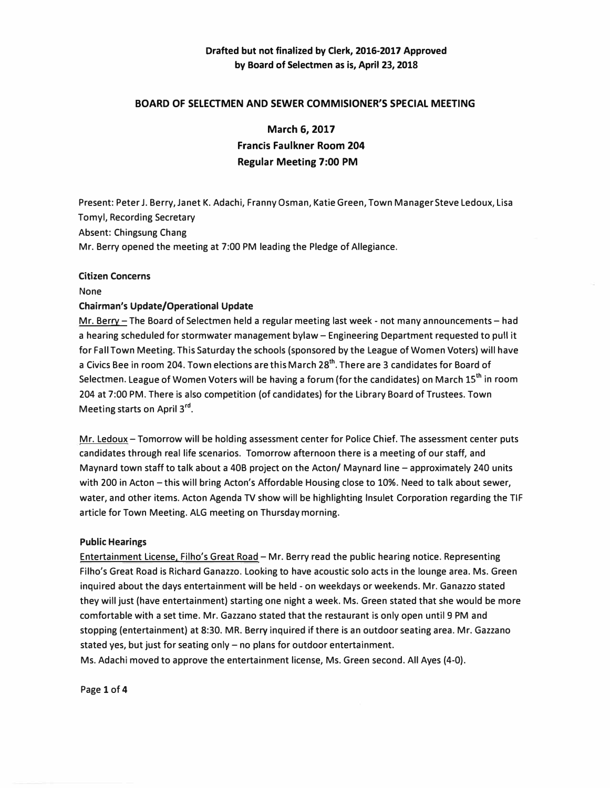## **Drafted but not finalized by Clerk, 2016-2017 Approved by Board of Selectmen as is, April 23, 2018**

### **BOARD OF SELECTMEN AND SEWER COMMISIONER'S SPECIAL MEETING**

**March 6, 2017 Francis Faulkner Room 204 Regular Meeting 7:00 PM** 

Present: Peter J. Berry, Janet K. Adachi, Franny Osman, Katie Green, Town Manager Steve Ledoux, Lisa Tomyl, Recording Secretary Absent: Chingsung Chang Mr. Berry opened the meeting at 7:00 PM leading the Pledge of Allegiance.

#### **Citizen Concerns**

None

#### **Chairman's Update/Operational Update**

Mr. Berry-The Board of Selectmen held a regular meeting last week - not many announcements- had a hearing scheduled for stormwater management bylaw - Engineering Department requested to pull it for Fall Town Meeting. This Saturday the schools (sponsored by the League of Women Voters) will have a Civics Bee in room 204. Town elections are this March 28**th •** There are 3 candidates for Board of Selectmen. League of Women Voters will be having a forum (for the candidates) on March 15**th** in room 204 at 7:00 PM. There is also competition (of candidates) for the Library Board of Trustees. Town Meeting starts on April 3<sup>rd</sup>.

Mr. Ledoux - Tomorrow will be holding assessment center for Police Chief. The assessment center puts candidates through real life scenarios. Tomorrow afternoon there is a meeting of our staff, and Maynard town staff to talk about a 40B project on the Acton/ Maynard line - approximately 240 units with 200 in Acton - this will bring Acton's Affordable Housing close to 10%. Need to talk about sewer, water, and other items. Acton Agenda TV show will be highlighting lnsulet Corporation regarding the TIF article for Town Meeting. ALG meeting on Thursday morning.

#### **Public Hearings**

Entertainment License, Filho's Great Road - Mr. Berry read the public hearing notice. Representing Filho's Great Road is Richard Ganazzo. Looking to have acoustic solo acts in the lounge area. Ms. Green inquired about the days entertainment will be held - on weekdays or weekends. Mr. Ganazzo stated they will just (have entertainment) starting one night a week. Ms. Green stated that she would be more comfortable with a set time. Mr. Gazzano stated that the restaurant is only open until 9 PM and stopping (entertainment) at 8:30. MR. Berry inquired if there is an outdoor seating area. Mr. Gazza no stated yes, but just for seating only  $-$  no plans for outdoor entertainment. Ms. Adachi moved to approve the entertainment license, Ms. Green second. All Ayes (4-0).

Page **1** of **4**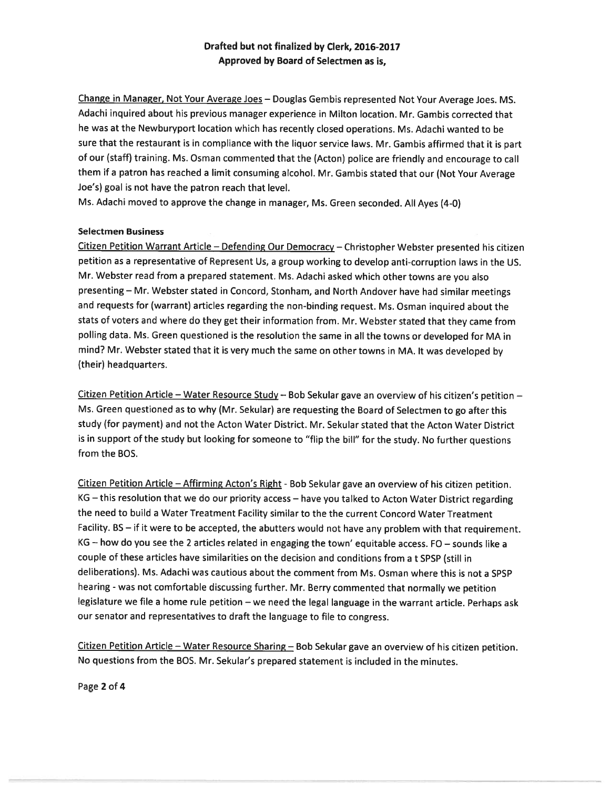## Drafted but not finalized by Clerk, 2016-2017 Approved by Board of Selectmen as is,

Change in Manager, Not Your Average Joes — Douglas Gembis represented Not Your Average Joes. MS. Adachi inquired about his previous manager experience in Milton location. Mr. Gambis corrected that he was at the Newburyport location which has recently closed operations. Ms. Adachi wanted to be sure that the restaurant is in compliance with the liquor service laws. Mr. Gambis affirmed that it is par<sup>t</sup> of our (staff) training. Ms. Osman commented that the (Acton) police are friendly and encourage to call them if <sup>a</sup> patron has reached <sup>a</sup> limit consuming alcohol. Mr. Gambis stated that our (Not Your Average Joe's) goal is not have the patron reach that level.

Ms. Adachi moved to approve the change in manager, Ms. Green seconded. All Ayes (4-0)

#### Selectmen Business

Citizen Petition Warrant Article — Defending Our Democracy — Christopher Webster presented his citizen petition as <sup>a</sup> representative of Represent Us, <sup>a</sup> group working to develop anti-corruption laws in the US. Mr. Webster read from <sup>a</sup> prepare<sup>d</sup> statement. Ms. Adachi asked which other towns are you also presenting — Mr. Webster stated in Concord, Stonham, and North Andover have had similar meetings and requests for (warrant) articles regarding the non-binding request. Ms. Osman inquired about the stats of voters and where do they ge<sup>t</sup> their information from. Mr. Webster stated that they came from polling data. Ms. Green questioned is the resolution the same in all the towns or developed for MA in mind? Mr. Webster stated that it is very much the same on other towns in MA. It was developed by (their) headquarters.

Citizen Petition Article - Water Resource Study - Bob Sekular gave an overview of his citizen's petition -Ms. Green questioned as to why (Mr. Sekular) are requesting the Board of Selectmen to go after this study (for payment) and not the Acton Water District. Mr. Sekular stated that the Acton Water District is in suppor<sup>t</sup> of the study but looking for someone to "flip the bill" for the study. No further questions from the BOS.

Citizen Petition Article - Affirming Acton's Right - Bob Sekular gave an overview of his citizen petition. KG — this resolution that we do our priority access — have you talked to Acton Water District regarding the need to build <sup>a</sup> Water Treatment Facility similar to the the current Concord Water Treatment Facility. BS — if it were to be accepted, the abutters would not have any problem with that requirement. KG — how do you see the <sup>2</sup> articles related in engaging the town' equitable access. ED — sounds like <sup>a</sup> couple of these articles have similarities on the decision and conditions from <sup>a</sup> <sup>t</sup> SPSP (still in deliberations). Ms. Adachi was cautious about the comment from Ms. Osman where this is not <sup>a</sup> SPSP hearing - was not comfortable discussing further. Mr. Berry commented that normally we petition legislature we file <sup>a</sup> home rule petition —we need the legal language in the warrant article. Perhaps ask our senator and representatives to draft the language to file to congress.

Citizen Petition Article — Water Resource Sharing — Bob Sekular gave an overview of his citizen petition. No questions from the BOS. Mr. Sekular's prepared statement is included in the minutes.

Page 2 of 4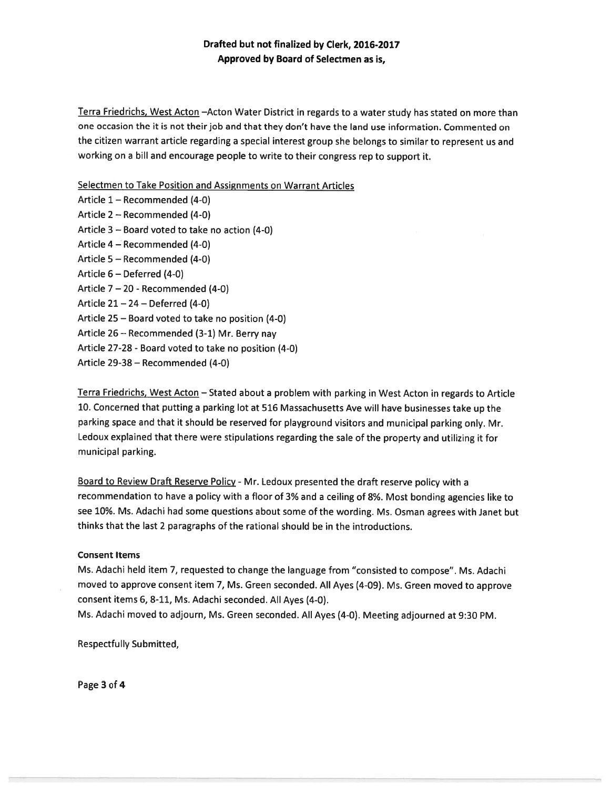## Drafted but not finalized by Clerk, 2016-2017 Approved by Board of Selectmen as is,

Terra Friedrichs, West Acton —Acton Water District in regards to <sup>a</sup> water study has stated on more than one occasion the it is not their job and that they don't have the land use information. Commented on the citizen warrant article regarding <sup>a</sup> special interest group she belongs to similar to represen<sup>t</sup> us and working on <sup>a</sup> bill and encourage people to write to their congress rep to suppor<sup>t</sup> it.

#### Selectmen to Take Position and Assignments on Warrant Articles

Article 1— Recommended (4-0) Article 2 — Recommended (4-0) Article 3 — Board voted to take no action (4-0) Article 4 — Recommended (4-0) Article 5 — Recommended (4-0) Article 6 — Deferred (4-0) Article 7 — 20 - Recommended (4-0) Article  $21 - 24 - Deferred$  (4-0) Article 25 — Board voted to take no position (4-0) Article 26— Recommended (3-1) Mr. Berry nay Article 27-28 - Board voted to take no position (4-0) Article 29-38 — Recommended (4-0)

Terra Friedrichs, West Acton — Stated about <sup>a</sup> problem with parking in West Acton in regards to Article 10. Concerned that putting <sup>a</sup> parking lot at <sup>516</sup> Massachusetts Ave will have businesses take up the parking space and that it should be reserved for <sup>p</sup>layground visitors and municipal parking only. Mr. Ledoux explained that there were stipulations regarding the sale of the property and utilizing it for municipal parking.

Board to Review Draft Reserve Policy - Mr. Ledoux presented the draft reserve policy with a recommendation to have <sup>a</sup> policy with <sup>a</sup> floor of 3% and <sup>a</sup> ceiling of 8%. Most bonding agencies like to see 10%. Ms. Adachi had some questions about some of the wording. Ms. Osman agrees with Janet but thinks that the last 2 paragraphs of the rational should be in the introductions.

#### Consent Items

Ms. Adachi held item 7, requested to change the language from "consisted to compose". Ms. Adachi moved to approve consent item 7, Ms. Green seconded. All Ayes (4-09). Ms. Green moved to approve consent items 6, 8-11, Ms. Adachi seconded. All Ayes (4-0).

Ms. Adachi moved to adjourn, Ms. Green seconded. All Ayes (4-0). Meeting adjourned at 9:30 PM.

Respectfully Submitted,

Page 3 of 4